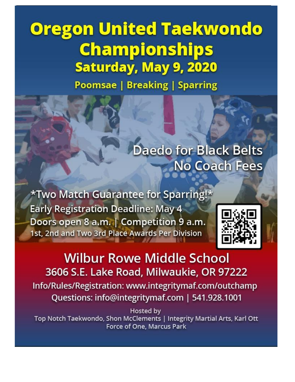# **Oregon United Taekwondo Championships** Saturday, May 9, 2020

**Poomsae | Breaking | Sparring** 

**Daedo for Black Belts** No Coach Fees

\*Two Match Guarantee for Sparring!\* **Early Registration Deadline: May 4** Doors open 8 a.m. | Competition 9 a.m. 1st, 2nd and Two 3rd Place Awards Per Division



**Wilbur Rowe Middle School** 3606 S.E. Lake Road, Milwaukie, OR 97222 Info/Rules/Registration: www.integritymaf.com/outchamp Questions: info@integritymaf.com | 541.928.1001

Hosted by Top Notch Taekwondo, Shon McClements | Integrity Martial Arts, Karl Ott **Force of One, Marcus Park**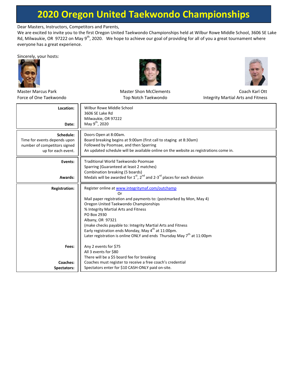Dear Masters, Instructors, Competitors and Parents,

We are excited to invite you to the first Oregon United Taekwondo Championships held at Wilbur Rowe Middle School, 3606 SE Lake Rd, Milwaukie, OR 97222 on May 9<sup>th</sup>, 2020. We hope to achieve our goal of providing for all of you a great tournament where everyone has a great experience.

Sincerely, your hosts:







| <b>Master Marcus Park</b>      | <b>Master Shon McClements</b>                                                                                                    | Coach Karl Ott                     |  |  |  |
|--------------------------------|----------------------------------------------------------------------------------------------------------------------------------|------------------------------------|--|--|--|
| Force of One Taekwondo         | Top Notch Taekwondo                                                                                                              | Integrity Martial Arts and Fitness |  |  |  |
| Location:                      | Wilbur Rowe Middle School<br>3606 SE Lake Rd                                                                                     |                                    |  |  |  |
|                                | Milwaukie, OR 97222                                                                                                              |                                    |  |  |  |
| Date:                          | May 9 <sup>th</sup> , 2020                                                                                                       |                                    |  |  |  |
| Schedule:                      | Doors Open at 8:00am.                                                                                                            |                                    |  |  |  |
| Time for events depends upon   | Board breaking begins at 9:00am (first call to staging at 8:30am)                                                                |                                    |  |  |  |
| number of competitors signed   | Followed by Poomsae, and then Sparring                                                                                           |                                    |  |  |  |
| up for each event.             | An updated schedule will be available online on the website as registrations come in.                                            |                                    |  |  |  |
| Events:                        | Traditional World Taekwondo Poomsae                                                                                              |                                    |  |  |  |
|                                | Sparring (Guaranteed at least 2 matches)                                                                                         |                                    |  |  |  |
| Awards:                        | Combination breaking (5 boards)<br>Medals will be awarded for $1^{st}$ , $2^{nd}$ and 2-3 <sup>rd</sup> places for each division |                                    |  |  |  |
|                                |                                                                                                                                  |                                    |  |  |  |
| <b>Registration:</b>           | Register online at www.integritymaf.com/outchamp                                                                                 |                                    |  |  |  |
|                                | Or                                                                                                                               |                                    |  |  |  |
|                                | Mail paper registration and payments to: (postmarked by Mon, May 4)                                                              |                                    |  |  |  |
|                                | Oregon United Taekwondo Championships<br>% Integrity Martial Arts and Fitness                                                    |                                    |  |  |  |
|                                | PO Box 2930                                                                                                                      |                                    |  |  |  |
|                                | Albany, OR 97321                                                                                                                 |                                    |  |  |  |
|                                | (make checks payable to: Integrity Martial Arts and Fitness                                                                      |                                    |  |  |  |
|                                | Early registration ends Monday, May 4 <sup>th</sup> at 11:00pm.                                                                  |                                    |  |  |  |
|                                | Later registration is online ONLY and ends Thursday May 7 <sup>th</sup> at 11:00pm                                               |                                    |  |  |  |
| Fees:<br>Any 2 events for \$75 |                                                                                                                                  |                                    |  |  |  |
|                                | All 3 events for \$80                                                                                                            |                                    |  |  |  |
|                                | There will be a \$5 board fee for breaking                                                                                       |                                    |  |  |  |
| Coaches:                       | Coaches must register to receive a free coach's credential                                                                       |                                    |  |  |  |
| Spectators:                    | Spectators enter for \$10 CASH-ONLY paid on-site.                                                                                |                                    |  |  |  |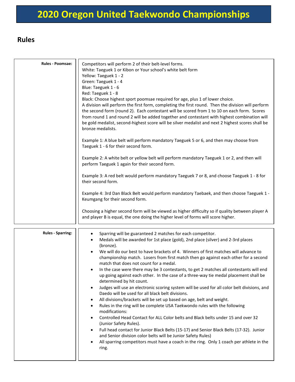#### **Rules**

| Rules - Poomsae:         | Competitors will perform 2 of their belt-level forms.<br>White: Taeguek 1 or Kibon or Your school's white belt form<br>Yellow: Taeguek 1 - 2<br>Green: Taeguek 1 - 4<br>Blue: Taeguek 1 - 6<br>Red: Taeguek 1 - 8<br>Black: Choose highest sport poomsae required for age, plus 1 of lower choice.<br>A division will perform the first form, completing the first round. Then the division will perform<br>the second form (round 2). Each contestant will be scored from 1 to 10 on each form. Scores<br>from round 1 and round 2 will be added together and contestant with highest combination will<br>be gold medalist, second-highest score will be silver medalist and next 2 highest scores shall be<br>bronze medalists.<br>Example 1: A blue belt will perform mandatory Taeguek 5 or 6, and then may choose from<br>Taeguek 1 - 6 for their second form.<br>Example 2: A white belt or yellow belt will perform mandatory Taeguek 1 or 2, and then will<br>perform Taeguek 1 again for their second form.                                                                                                                                                                                                                                                                                                                                                                                             |  |  |  |  |
|--------------------------|------------------------------------------------------------------------------------------------------------------------------------------------------------------------------------------------------------------------------------------------------------------------------------------------------------------------------------------------------------------------------------------------------------------------------------------------------------------------------------------------------------------------------------------------------------------------------------------------------------------------------------------------------------------------------------------------------------------------------------------------------------------------------------------------------------------------------------------------------------------------------------------------------------------------------------------------------------------------------------------------------------------------------------------------------------------------------------------------------------------------------------------------------------------------------------------------------------------------------------------------------------------------------------------------------------------------------------------------------------------------------------------------------------------|--|--|--|--|
|                          |                                                                                                                                                                                                                                                                                                                                                                                                                                                                                                                                                                                                                                                                                                                                                                                                                                                                                                                                                                                                                                                                                                                                                                                                                                                                                                                                                                                                                  |  |  |  |  |
|                          | Example 3: A red belt would perform mandatory Taeguek 7 or 8, and choose Taeguek 1 - 8 for<br>their second form.                                                                                                                                                                                                                                                                                                                                                                                                                                                                                                                                                                                                                                                                                                                                                                                                                                                                                                                                                                                                                                                                                                                                                                                                                                                                                                 |  |  |  |  |
|                          | Example 4: 3rd Dan Black Belt would perform mandatory Taebaek, and then choose Taeguek 1 -<br>Keumgang for their second form.                                                                                                                                                                                                                                                                                                                                                                                                                                                                                                                                                                                                                                                                                                                                                                                                                                                                                                                                                                                                                                                                                                                                                                                                                                                                                    |  |  |  |  |
|                          | Choosing a higher second form will be viewed as higher difficulty so if quality between player A<br>and player B is equal, the one doing the higher level of forms will score higher.                                                                                                                                                                                                                                                                                                                                                                                                                                                                                                                                                                                                                                                                                                                                                                                                                                                                                                                                                                                                                                                                                                                                                                                                                            |  |  |  |  |
| <b>Rules - Sparring:</b> | Sparring will be guaranteed 2 matches for each competitor.<br>$\bullet$<br>Medals will be awarded for 1st place (gold), 2nd place (silver) and 2-3rd places<br>(bronze).<br>We will do our best to have brackets of 4. Winners of first matches will advance to<br>championship match. Losers from first match then go against each other for a second<br>match that does not count for a medal.<br>In the case were there may be 3 contestants, to get 2 matches all contestants will end<br>$\bullet$<br>up going against each other. In the case of a three-way tie medal placement shall be<br>determined by hit count.<br>Judges will use an electronic scoring system will be used for all color belt divisions, and<br>$\bullet$<br>Daedo will be used for all black belt divisions.<br>All divisions/brackets will be set up based on age, belt and weight.<br>$\bullet$<br>Rules in the ring will be complete USA Taekwondo rules with the following<br>$\bullet$<br>modifications:<br>Controlled Head Contact for ALL Color belts and Black belts under 15 and over 32<br>$\bullet$<br>(Junior Safety Rules).<br>Full head contact for Junior Black Belts (15-17) and Senior Black Belts (17-32). Junior<br>$\bullet$<br>and Senior division color belts will be Junior Safety Rules)<br>All sparring competitors must have a coach in the ring. Only 1 coach per athlete in the<br>$\bullet$<br>ring. |  |  |  |  |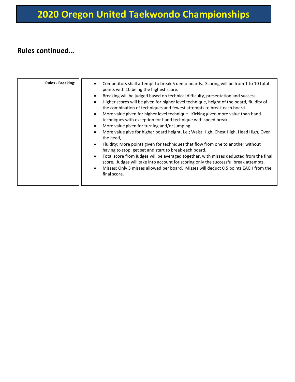#### **Rules continued…**

| <b>Rules - Breaking:</b> | Competitors shall attempt to break 5 demo boards. Scoring will be from 1 to 10 total<br>points with 10 being the highest score.<br>Breaking will be judged based on technical difficulty, presentation and success.<br>$\bullet$<br>Higher scores will be given for higher level technique, height of the board, fluidity of<br>$\bullet$<br>the combination of techniques and fewest attempts to break each board.<br>More value given for higher level technique. Kicking given more value than hand<br>$\bullet$<br>techniques with exception for hand technique with speed break.<br>More value given for turning and/or jumping.<br>$\bullet$<br>More value give for higher board height, i.e.; Waist High, Chest High, Head High, Over<br>$\bullet$<br>the head,<br>Fluidity: More points given for techniques that flow from one to another without<br>$\bullet$<br>having to stop, get set and start to break each board.<br>Total score from judges will be averaged together, with misses deducted from the final<br>$\bullet$<br>score. Judges will take into account for scoring only the successful break attempts.<br>Misses: Only 3 misses allowed per board. Misses will deduct 0.5 points EACH from the<br>$\bullet$<br>final score. |
|--------------------------|-------------------------------------------------------------------------------------------------------------------------------------------------------------------------------------------------------------------------------------------------------------------------------------------------------------------------------------------------------------------------------------------------------------------------------------------------------------------------------------------------------------------------------------------------------------------------------------------------------------------------------------------------------------------------------------------------------------------------------------------------------------------------------------------------------------------------------------------------------------------------------------------------------------------------------------------------------------------------------------------------------------------------------------------------------------------------------------------------------------------------------------------------------------------------------------------------------------------------------------------------------|
|                          |                                                                                                                                                                                                                                                                                                                                                                                                                                                                                                                                                                                                                                                                                                                                                                                                                                                                                                                                                                                                                                                                                                                                                                                                                                                       |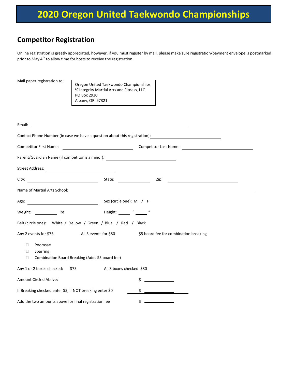#### **Competitor Registration**

Online registration is greatly appreciated, however, if you must register by mail, please make sure registration/payment envelope is postmarked prior to May 4<sup>th</sup> to allow time for hosts to receive the registration.

| Mail paper registration to:                              | Oregon United Taekwondo Championships<br>% Integrity Martial Arts and Fitness, LLC<br>PO Box 2930<br>Albany, OR 97321                                                                                                          |                                                                                                                      |
|----------------------------------------------------------|--------------------------------------------------------------------------------------------------------------------------------------------------------------------------------------------------------------------------------|----------------------------------------------------------------------------------------------------------------------|
| Email:                                                   | the contract of the contract of the contract of the contract of the contract of                                                                                                                                                |                                                                                                                      |
|                                                          | Contact Phone Number (in case we have a question about this registration):                                                                                                                                                     | <u> 1980 - Jan Barbara Barbara, manazarta da kasas da shekara 1980 - 1981 - 1982 - 1982 - 1983 - 1984 - 1986 - 1</u> |
| Competitor First Name:                                   | <u> 1990 - Johann Barbara, martin a</u>                                                                                                                                                                                        | Competitor Last Name:                                                                                                |
|                                                          | Parent/Guardian Name (if competitor is a minor): Name of the state of the state of the state of the state of the state of the state of the state of the state of the state of the state of the state of the state of the state |                                                                                                                      |
| <b>Street Address:</b>                                   | <u> 1980 - Johann Barbara, martxa al</u>                                                                                                                                                                                       |                                                                                                                      |
| City:                                                    | $\overline{\phantom{a}}$ . The contract of $\overline{\phantom{a}}$<br>State:                                                                                                                                                  | Zip:                                                                                                                 |
|                                                          | Name of Martial Arts School: Name of Martial Arts School:                                                                                                                                                                      |                                                                                                                      |
| <u> 1990 - Johann Barbara, martin a</u><br>Age:          | Sex (circle one): M / F                                                                                                                                                                                                        |                                                                                                                      |
| Weight:<br>Ibs                                           | Height: '_ "                                                                                                                                                                                                                   |                                                                                                                      |
|                                                          | Belt (circle one): White / Yellow / Green / Blue / Red / Black                                                                                                                                                                 |                                                                                                                      |
| Any 2 events for \$75                                    | All 3 events for \$80                                                                                                                                                                                                          | \$5 board fee for combination breaking                                                                               |
| Poomsae<br>$\Box$<br>□<br>Sparring                       |                                                                                                                                                                                                                                |                                                                                                                      |
| $\Box$                                                   | Combination Board Breaking (Adds \$5 board fee)                                                                                                                                                                                |                                                                                                                      |
| Any 1 or 2 boxes checked: \$75                           | All 3 boxes checked \$80                                                                                                                                                                                                       |                                                                                                                      |
| Amount Circled Above:                                    |                                                                                                                                                                                                                                | \$                                                                                                                   |
| If Breaking checked enter \$5, if NOT breaking enter \$0 |                                                                                                                                                                                                                                | \$                                                                                                                   |
| Add the two amounts above for final registration fee     |                                                                                                                                                                                                                                | \$                                                                                                                   |